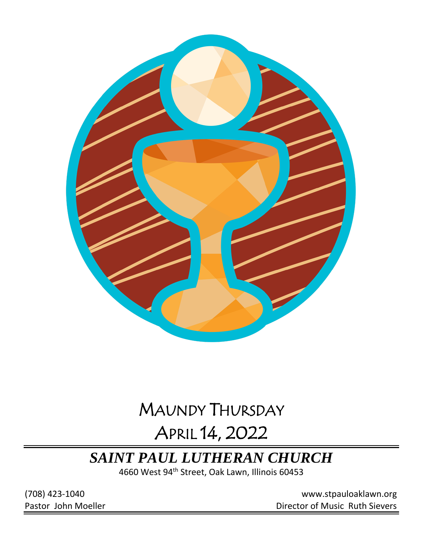

# MAUNDY THURSDAY

# APRIL 14, 2022

# *SAINT PAUL LUTHERAN CHURCH*

4660 West 94<sup>th</sup> Street, Oak Lawn, Illinois 60453

(708) 423-1040 [www.stpauloaklawn.org](about:blank) Pastor John Moeller **Director of Music Ruth Sievers**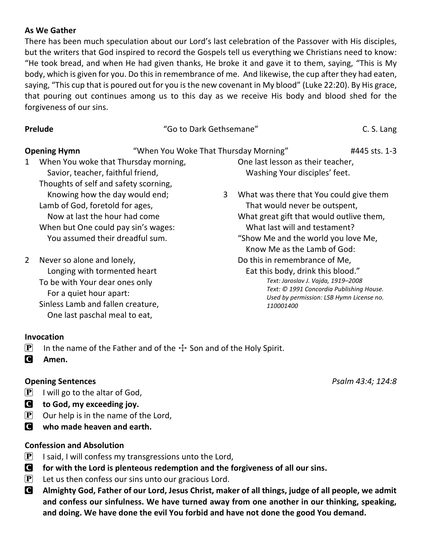#### **As We Gather**

There has been much speculation about our Lord's last celebration of the Passover with His disciples, but the writers that God inspired to record the Gospels tell us everything we Christians need to know: "He took bread, and when He had given thanks, He broke it and gave it to them, saying, "This is My body, which is given for you. Do this in remembrance of me. And likewise, the cup after they had eaten, saying, "This cup that is poured out for you is the new covenant in My blood" (Luke 22:20). By His grace, that pouring out continues among us to this day as we receive His body and blood shed for the forgiveness of our sins.

**Prelude** C. S. Language C. S. Language C. S. Language C. S. Language C. S. Language C. S. Language C. S. Language C. S. Language C. S. Language C. S. Language C. S. Language C. S. Language C. S. Language C. S. Language C.

| 11 LIUUL                                                                                  |                                       | OU to Dain Octrischianc               |                                                                    |               |
|-------------------------------------------------------------------------------------------|---------------------------------------|---------------------------------------|--------------------------------------------------------------------|---------------|
| <b>Opening Hymn</b>                                                                       |                                       | "When You Woke That Thursday Morning" |                                                                    | #445 sts. 1-3 |
| When You woke that Thursday morning,<br>$\mathbf{1}$<br>Savior, teacher, faithful friend, |                                       |                                       | One last lesson as their teacher,<br>Washing Your disciples' feet. |               |
|                                                                                           | Thoughts of self and safety scorning, |                                       |                                                                    |               |
|                                                                                           | Knowing how the day would end;        | 3                                     | What was there that You could give them                            |               |
| Lamb of God, foretold for ages,                                                           |                                       |                                       | That would never be outspent,                                      |               |
| Now at last the hour had come                                                             |                                       |                                       | What great gift that would outlive them,                           |               |
| When but One could pay sin's wages:                                                       |                                       |                                       | What last will and testament?                                      |               |
|                                                                                           | You assumed their dreadful sum.       |                                       | "Show Me and the world you love Me,<br>Know Mo as the Lamb of God. |               |

2 Never so alone and lonely, Longing with tormented heart To be with Your dear ones only For a quiet hour apart: Sinless Lamb and fallen creature, One last paschal meal to eat,

 Know Me as the Lamb of God: Do this in remembrance of Me, Eat this body, drink this blood." *Text: Jaroslav J. Vajda, 1919–2008 Text: © 1991 Concordia Publishing House. Used by permission: LSB Hymn License no.* 

*110001400*

#### **Invocation**

- **P** In the name of the Father and of the  $\pm$  Son and of the Holy Spirit.
- C **Amen.**

### **Opening Sentences** *Psalm 43:4; 124:8*

- $[P]$  I will go to the altar of God,
- C **to God, my exceeding joy.**
- $\left| \mathbf{P} \right|$  Our help is in the name of the Lord,
- C **who made heaven and earth.**

### **Confession and Absolution**

- **P** I said, I will confess my transgressions unto the Lord,
- C **for with the Lord is plenteous redemption and the forgiveness of all our sins.**
- $\mathbf{P}$  Let us then confess our sins unto our gracious Lord.
- C **Almighty God, Father of our Lord, Jesus Christ, maker of all things, judge of all people, we admit and confess our sinfulness. We have turned away from one another in our thinking, speaking, and doing. We have done the evil You forbid and have not done the good You demand.**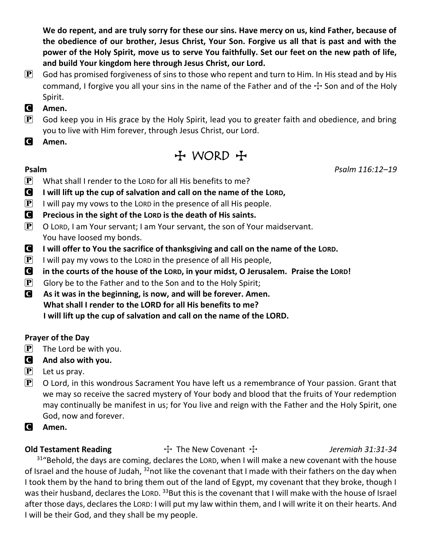**We do repent, and are truly sorry for these our sins. Have mercy on us, kind Father, because of the obedience of our brother, Jesus Christ, Your Son. Forgive us all that is past and with the power of the Holy Spirit, move us to serve You faithfully. Set our feet on the new path of life, and build Your kingdom here through Jesus Christ, our Lord.**

 $\mathbf{P}$  God has promised forgiveness of sins to those who repent and turn to Him. In His stead and by His command, I forgive you all your sins in the name of the Father and of the  $\pm$  Son and of the Holy Spirit.

### C **Amen.**

- $\left[\mathbf{P}\right]$  God keep you in His grace by the Holy Spirit, lead you to greater faith and obedience, and bring you to live with Him forever, through Jesus Christ, our Lord.
- C **Amen.**

 $H$  WORD  $H$ 

- $\mathbf{P}$  What shall I render to the LORD for all His benefits to me?
- C **I will lift up the cup of salvation and call on the name of the LORD,**
- **P** I will pay my vows to the LORD in the presence of all His people.
- C **Precious in the sight of the LORD is the death of His saints.**
- $\mathbf{P}$  O LORD, I am Your servant; I am Your servant, the son of Your maidservant. You have loosed my bonds.
- C **I will offer to You the sacrifice of thanksgiving and call on the name of the LORD.**
- $\mathbf{P}$  I will pay my vows to the LORD in the presence of all His people,
- C **in the courts of the house of the LORD, in your midst, O Jerusalem. Praise the LORD!**
- $\mathbf{P}$  Glory be to the Father and to the Son and to the Holy Spirit;
- C **As it was in the beginning, is now, and will be forever. Amen. What shall I render to the LORD for all His benefits to me? I will lift up the cup of salvation and call on the name of the LORD.**

### **Prayer of the Day**

- $\left| \mathbf{P} \right|$  The Lord be with you.
- C **And also with you.**
- $\left| \mathbf{P} \right|$  Let us pray.
- $\mathbf{P}$  O Lord, in this wondrous Sacrament You have left us a remembrance of Your passion. Grant that we may so receive the sacred mystery of Your body and blood that the fruits of Your redemption may continually be manifest in us; for You live and reign with the Father and the Holy Spirit, one God, now and forever.
- C **Amen.**

**Old Testament Reading** The New Covenant T *Jeremiah 31:31-34* 

 $31^{\circ}$ Behold, the days are coming, declares the LORD, when I will make a new covenant with the house of Israel and the house of Judah, <sup>32</sup>not like the covenant that I made with their fathers on the day when I took them by the hand to bring them out of the land of Egypt, my covenant that they broke, though I was their husband, declares the LORD. <sup>33</sup>But this is the covenant that I will make with the house of Israel after those days, declares the LORD: I will put my law within them, and I will write it on their hearts. And I will be their God, and they shall be my people.

**Psalm** *Psalm 116:12–19*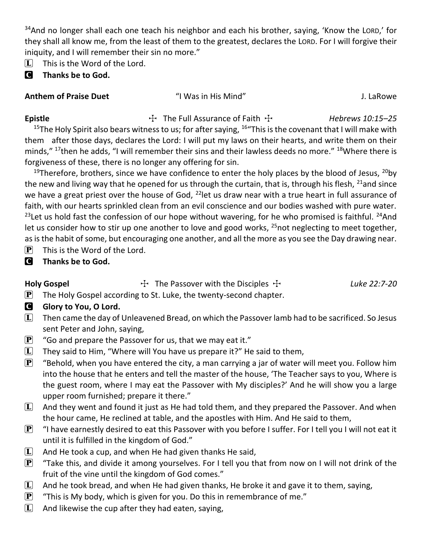$34$ And no longer shall each one teach his neighbor and each his brother, saying, 'Know the LORD,' for they shall all know me, from the least of them to the greatest, declares the LORD. For I will forgive their iniquity, and I will remember their sin no more."

 $[L]$  This is the Word of the Lord.

### C **Thanks be to God.**

### **Anthem of Praise Duet** "I Was in His Mind" J. LaRowe

**Epistle** The Full Assurance of Faith  $\frac{1}{1}$  *Hebrews 10:15–25* 

<sup>15</sup>The Holy Spirit also bears witness to us; for after saying,  $16$ "This is the covenant that I will make with them after those days, declares the Lord: I will put my laws on their hearts, and write them on their minds," <sup>17</sup>then he adds, "I will remember their sins and their lawless deeds no more." <sup>18</sup>Where there is forgiveness of these, there is no longer any offering for sin.

<sup>19</sup>Therefore, brothers, since we have confidence to enter the holy places by the blood of Jesus,  $^{20}$ by the new and living way that he opened for us through the curtain, that is, through his flesh,  $^{21}$ and since we have a great priest over the house of God, <sup>22</sup>let us draw near with a true heart in full assurance of faith, with our hearts sprinkled clean from an evil conscience and our bodies washed with pure water. <sup>23</sup>Let us hold fast the confession of our hope without wavering, for he who promised is faithful. <sup>24</sup>And let us consider how to stir up one another to love and good works, <sup>25</sup>not neglecting to meet together, as is the habit of some, but encouraging one another, and all the more as you see the Day drawing near.

- $\left| \mathbf{P} \right|$  This is the Word of the Lord.
- C **Thanks be to God.**

Holy Gospel **The Passover with the Disciples The Cospel** Luke 22:7-20

- $\mathbf{P}$  The Holy Gospel according to St. Luke, the twenty-second chapter.
- **G** Glory to You, O Lord.
- $\Box$  Then came the day of Unleavened Bread, on which the Passover lamb had to be sacrificed. So Jesus sent Peter and John, saying,
- $\mathbf{P}$  "Go and prepare the Passover for us, that we may eat it."
- $\Box$  They said to Him, "Where will You have us prepare it?" He said to them,
- $\mathbf{P}$  "Behold, when you have entered the city, a man carrying a jar of water will meet you. Follow him into the house that he enters and tell the master of the house, 'The Teacher says to you, Where is the guest room, where I may eat the Passover with My disciples?' And he will show you a large upper room furnished; prepare it there."
- $\Box$  And they went and found it just as He had told them, and they prepared the Passover. And when the hour came, He reclined at table, and the apostles with Him. And He said to them,
- $\boxed{\mathbf{P}}$  "I have earnestly desired to eat this Passover with you before I suffer. For I tell you I will not eat it until it is fulfilled in the kingdom of God."
- $\Box$  And He took a cup, and when He had given thanks He said,
- $\mathbf{P}$  "Take this, and divide it among yourselves. For I tell you that from now on I will not drink of the fruit of the vine until the kingdom of God comes."
- $\Box$  And he took bread, and when He had given thanks, He broke it and gave it to them, saying,
- **P** "This is My body, which is given for you. Do this in remembrance of me."
- $\Box$  And likewise the cup after they had eaten, saying,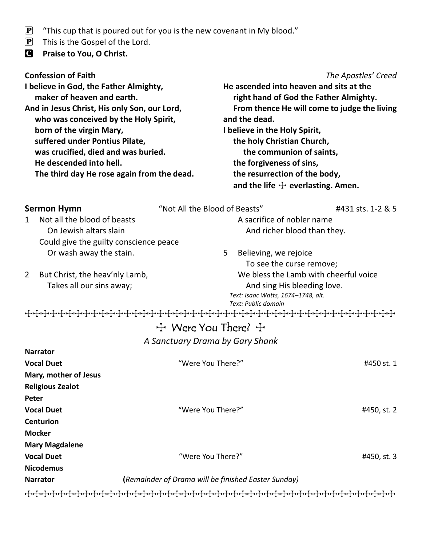- $\mathbf{P}$  "This cup that is poured out for you is the new covenant in My blood."
- $\left| \mathbf{P} \right|$  This is the Gospel of the Lord.
- C **Praise to You, O Christ.**

#### **Confession of Faith** *The Apostles' Creed*

**I believe in God, the Father Almighty, maker of heaven and earth. And in Jesus Christ, His only Son, our Lord, who was conceived by the Holy Spirit, born of the virgin Mary, suffered under Pontius Pilate, was crucified, died and was buried. He descended into hell. The third day He rose again from the dead.**

**He ascended into heaven and sits at the right hand of God the Father Almighty. From thence He will come to judge the living and the dead. I believe in the Holy Spirit, the holy Christian Church, the communion of saints, the forgiveness of sins, the resurrection of the body,**

and the life  $\div$  everlasting. Amen.

| <b>Sermon Hymn</b>                               | "Not All the Blood of Beasts"                       | #431 sts. 1-2 & 5 |
|--------------------------------------------------|-----------------------------------------------------|-------------------|
| Not all the blood of beasts<br>$\mathbf 1$       | A sacrifice of nobler name                          |                   |
| On Jewish altars slain                           | And richer blood than they.                         |                   |
| Could give the guilty conscience peace           |                                                     |                   |
| Or wash away the stain.                          | 5<br>Believing, we rejoice                          |                   |
|                                                  | To see the curse remove;                            |                   |
| $\overline{2}$<br>But Christ, the heav'nly Lamb, | We bless the Lamb with cheerful voice               |                   |
| Takes all our sins away;                         | And sing His bleeding love.                         |                   |
|                                                  | Text: Isaac Watts, 1674-1748, alt.                  |                   |
|                                                  | Text: Public domain                                 |                   |
|                                                  |                                                     |                   |
|                                                  | 十 Were You There? 十                                 |                   |
|                                                  | A Sanctuary Drama by Gary Shank                     |                   |
| <b>Narrator</b>                                  |                                                     |                   |
| <b>Vocal Duet</b>                                | "Were You There?"                                   | #450 st. 1        |
| Mary, mother of Jesus                            |                                                     |                   |
| <b>Religious Zealot</b>                          |                                                     |                   |
| Peter                                            |                                                     |                   |
| <b>Vocal Duet</b>                                | "Were You There?"                                   | #450, st. 2       |
| <b>Centurion</b>                                 |                                                     |                   |
| <b>Mocker</b>                                    |                                                     |                   |
| <b>Mary Magdalene</b>                            |                                                     |                   |
| <b>Vocal Duet</b>                                | "Were You There?"                                   | #450, st. 3       |
| <b>Nicodemus</b>                                 |                                                     |                   |
| <b>Narrator</b>                                  | (Remainder of Drama will be finished Easter Sunday) |                   |
|                                                  |                                                     |                   |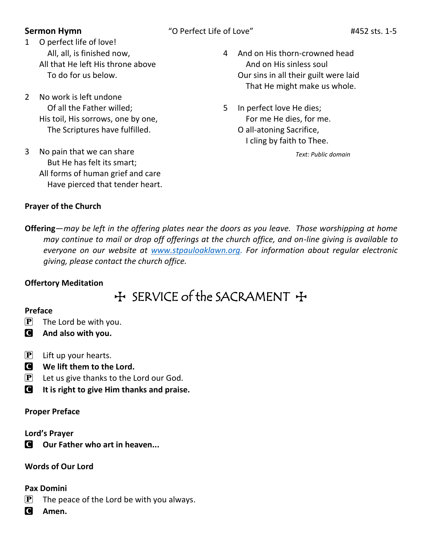### **Sermon Hymn** "O Perfect Life of Love" #452 sts. 1-5

- 1 O perfect life of love! All, all, is finished now, All that He left His throne above To do for us below.
- 2 No work is left undone Of all the Father willed; His toil, His sorrows, one by one, The Scriptures have fulfilled.
- 3 No pain that we can share But He has felt its smart; All forms of human grief and care Have pierced that tender heart.
- 4 And on His thorn-crowned head And on His sinless soul Our sins in all their guilt were laid That He might make us whole.
- 5 In perfect love He dies; For me He dies, for me. O all-atoning Sacrifice, I cling by faith to Thee.

*Text: Public domain*

#### **Prayer of the Church**

**Offering**—*may be left in the offering plates near the doors as you leave. Those worshipping at home may continue to mail or drop off offerings at the church office, and on-line giving is available to everyone on our website at [www.stpauloaklawn.org.](http://www.stpauloaklawn.org/) For information about regular electronic giving, please contact the church office.* 

### **Offertory Meditation**

# + SERVICE of the SACRAMENT +

#### **Preface**

- $\left[\mathbf{P}\right]$  The Lord be with you.
- C **And also with you.**
- $[P]$  Lift up your hearts.
- C **We lift them to the Lord.**
- $\left[ \mathbf{P} \right]$  Let us give thanks to the Lord our God.
- C **It is right to give Him thanks and praise.**

### **Proper Preface**

### **Lord's Prayer**

C **Our Father who art in heaven...**

## **Words of Our Lord**

### **Pax Domini**

- $\mathbf{P}$  The peace of the Lord be with you always.
- C **Amen.**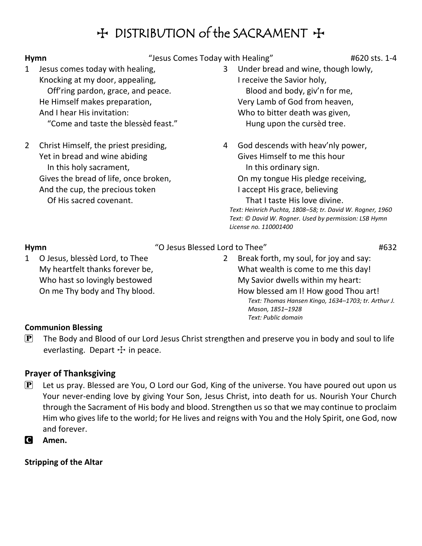# H DISTRIBUTION of the SACRAMENT +

#### Hymn **Hymn** "Jesus Comes Today with Healing"  $\#620$  sts. 1-4

- 1 Jesus comes today with healing, Knocking at my door, appealing, Off'ring pardon, grace, and peace. He Himself makes preparation, And I hear His invitation: "Come and taste the blessèd feast."
- 2 Christ Himself, the priest presiding, Yet in bread and wine abiding In this holy sacrament, Gives the bread of life, once broken, And the cup, the precious token Of His sacred covenant.
- 3 Under bread and wine, though lowly, I receive the Savior holy, Blood and body, giv'n for me, Very Lamb of God from heaven, Who to bitter death was given, Hung upon the cursèd tree.
- 4 God descends with heav'nly power, Gives Himself to me this hour In this ordinary sign.

On my tongue His pledge receiving,

I accept His grace, believing That I taste His love divine.

*Text: Heinrich Puchta, 1808–58; tr. David W. Rogner, 1960 Text: © David W. Rogner. Used by permission: LSB Hymn License no. 110001400*

## **Hymn**  $\blacksquare$   $\blacksquare$   $\blacksquare$   $\blacksquare$   $\blacksquare$   $\blacksquare$   $\blacksquare$   $\blacksquare$   $\blacksquare$   $\blacksquare$   $\blacksquare$   $\blacksquare$   $\blacksquare$   $\blacksquare$   $\blacksquare$   $\blacksquare$   $\blacksquare$   $\blacksquare$   $\blacksquare$   $\blacksquare$   $\blacksquare$   $\blacksquare$   $\blacksquare$   $\blacksquare$   $\blacksquare$   $\blacksquare$   $\blacksquare$   $\blacksquare$   $\blacksquare$   $\blacksquare$   $\blacksquare$

1 O Jesus, blessèd Lord, to Thee My heartfelt thanks forever be, Who hast so lovingly bestowed On me Thy body and Thy blood. 2 Break forth, my soul, for joy and say: What wealth is come to me this day! My Savior dwells within my heart: How blessed am I! How good Thou art! *Text: Thomas Hansen Kingo, 1634–1703; tr. Arthur J. Mason, 1851–1928 Text: Public domain*

### **Communion Blessing**

 $\left| \mathbf{P} \right|$  The Body and Blood of our Lord Jesus Christ strengthen and preserve you in body and soul to life everlasting. Depart  $\pm$  in peace.

### **Prayer of Thanksgiving**

- $\mathbf{P}$  Let us pray. Blessed are You, O Lord our God, King of the universe. You have poured out upon us Your never-ending love by giving Your Son, Jesus Christ, into death for us. Nourish Your Church through the Sacrament of His body and blood. Strengthen us so that we may continue to proclaim Him who gives life to the world; for He lives and reigns with You and the Holy Spirit, one God, now and forever.
- C **Amen.**

**Stripping of the Altar**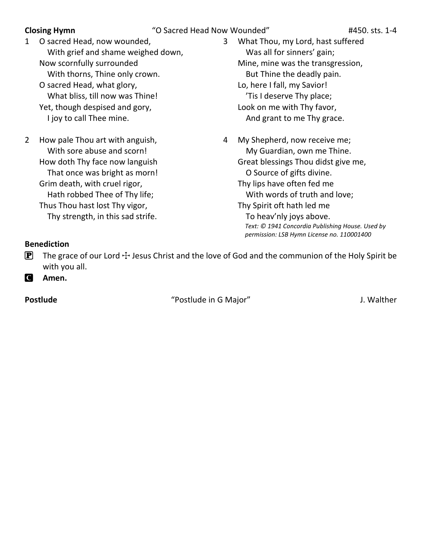- 1 O sacred Head, now wounded, With grief and shame weighed down, Now scornfully surrounded With thorns, Thine only crown. O sacred Head, what glory, What bliss, till now was Thine! Yet, though despised and gory, I joy to call Thee mine.
- 2 How pale Thou art with anguish, With sore abuse and scorn! How doth Thy face now languish That once was bright as morn! Grim death, with cruel rigor, Hath robbed Thee of Thy life; Thus Thou hast lost Thy vigor, Thy strength, in this sad strife.

3 What Thou, my Lord, hast suffered Was all for sinners' gain; Mine, mine was the transgression, But Thine the deadly pain. Lo, here I fall, my Savior! 'Tis I deserve Thy place; Look on me with Thy favor, And grant to me Thy grace.

4 My Shepherd, now receive me; My Guardian, own me Thine. Great blessings Thou didst give me, O Source of gifts divine. Thy lips have often fed me With words of truth and love; Thy Spirit oft hath led me To heav'nly joys above. *Text: © 1941 Concordia Publishing House. Used by permission: LSB Hymn License no. 110001400*

#### **Benediction**

**P** The grace of our Lord  $\div$  Jesus Christ and the love of God and the communion of the Holy Spirit be with you all.

C **Amen.**

**Postlude** The *Postlude in G Major*" and *J. Walther*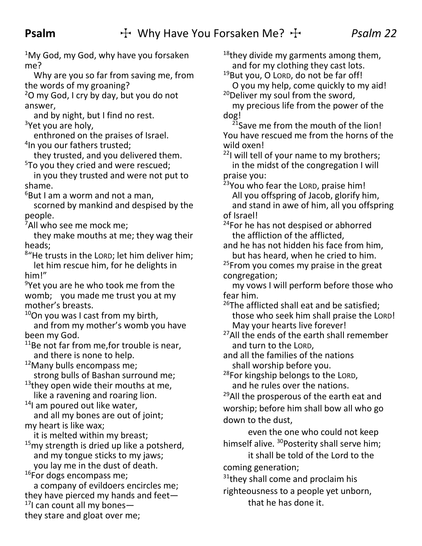$1$ My God, my God, why have you forsaken me?

Why are you so far from saving me, from the words of my groaning?

 $2$ O my God, I cry by day, but you do not answer,

and by night, but I find no rest.  $3$ Yet you are holy,

enthroned on the praises of Israel. 4 In you our fathers trusted;

they trusted, and you delivered them. <sup>5</sup>To you they cried and were rescued;

in you they trusted and were not put to shame.

 $6$ But I am a worm and not a man,

scorned by mankind and despised by the people.

<sup>7</sup>All who see me mock me;

they make mouths at me; they wag their heads;

8 "He trusts in the LORD; let him deliver him; let him rescue him, for he delights in him!"

<sup>9</sup>Yet you are he who took me from the womb; you made me trust you at my mother's breasts.

<sup>10</sup>On you was I cast from my birth,

and from my mother's womb you have been my God.

 $11$ Be not far from me, for trouble is near, and there is none to help.

 $12$ Many bulls encompass me; strong bulls of Bashan surround me;

 $13$ they open wide their mouths at me, like a ravening and roaring lion.

<sup>14</sup>I am poured out like water, and all my bones are out of joint; my heart is like wax;

it is melted within my breast;

 $15$ my strength is dried up like a potsherd, and my tongue sticks to my jaws; you lay me in the dust of death.

<sup>16</sup>For dogs encompass me;

a company of evildoers encircles me; they have pierced my hands and feet— $17$ I can count all my bones they stare and gloat over me;

 $18$ they divide my garments among them, and for my clothing they cast lots.

19But you, O LORD, do not be far off! O you my help, come quickly to my aid! <sup>20</sup>Deliver my soul from the sword,

my precious life from the power of the dog!

<sup>21</sup>Save me from the mouth of the lion! You have rescued me from the horns of the wild oxen!

 $221$  will tell of your name to my brothers; in the midst of the congregation I will praise you:

<sup>23</sup>You who fear the LORD, praise him! All you offspring of Jacob, glorify him, and stand in awe of him, all you offspring of Israel!

<sup>24</sup>For he has not despised or abhorred the affliction of the afflicted,

and he has not hidden his face from him, but has heard, when he cried to him.

<sup>25</sup>From you comes my praise in the great congregation;

my vows I will perform before those who fear him.

<sup>26</sup>The afflicted shall eat and be satisfied; those who seek him shall praise the LORD! May your hearts live forever!

<sup>27</sup>All the ends of the earth shall remember and turn to the LORD,

and all the families of the nations shall worship before you.

<sup>28</sup>For kingship belongs to the LORD, and he rules over the nations.

<sup>29</sup>All the prosperous of the earth eat and worship; before him shall bow all who go down to the dust,

even the one who could not keep himself alive. <sup>30</sup>Posterity shall serve him;

it shall be told of the Lord to the coming generation;

 $31$ <sup>31</sup>they shall come and proclaim his

righteousness to a people yet unborn, that he has done it.